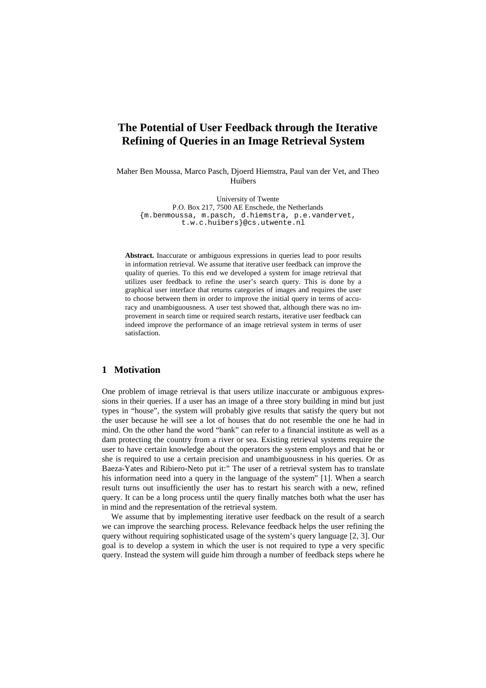# **The Potential of User Feedback through the Iterative Refining of Queries in an Image Retrieval System**

Maher Ben Moussa, Marco Pasch, Djoerd Hiemstra, Paul van der Vet, and Theo Huibers

University of Twente P.O. Box 217, 7500 AE Enschede, the Netherlands {m.benmoussa, m.pasch, d.hiemstra, p.e.vandervet, t.w.c.huibers}@cs.utwente.nl

**Abstract.** Inaccurate or ambiguous expressions in queries lead to poor results in information retrieval. We assume that iterative user feedback can improve the quality of queries. To this end we developed a system for image retrieval that utilizes user feedback to refine the user's search query. This is done by a graphical user interface that returns categories of images and requires the user to choose between them in order to improve the initial query in terms of accuracy and unambiguousness. A user test showed that, although there was no improvement in search time or required search restarts, iterative user feedback can indeed improve the performance of an image retrieval system in terms of user satisfaction.

# **1 Motivation**

One problem of image retrieval is that users utilize inaccurate or ambiguous expressions in their queries. If a user has an image of a three story building in mind but just types in "house", the system will probably give results that satisfy the query but not the user because he will see a lot of houses that do not resemble the one he had in mind. On the other hand the word "bank" can refer to a financial institute as well as a dam protecting the country from a river or sea. Existing retrieval systems require the user to have certain knowledge about the operators the system employs and that he or she is required to use a certain precision and unambiguousness in his queries. Or as Baeza-Yates and Ribiero-Neto put it:" The user of a retrieval system has to translate his information need into a query in the language of the system" [1]. When a search result turns out insufficiently the user has to restart his search with a new, refined query. It can be a long process until the query finally matches both what the user has in mind and the representation of the retrieval system.

We assume that by implementing iterative user feedback on the result of a search we can improve the searching process. Relevance feedback helps the user refining the query without requiring sophisticated usage of the system's query language [2, 3]. Our goal is to develop a system in which the user is not required to type a very specific query. Instead the system will guide him through a number of feedback steps where he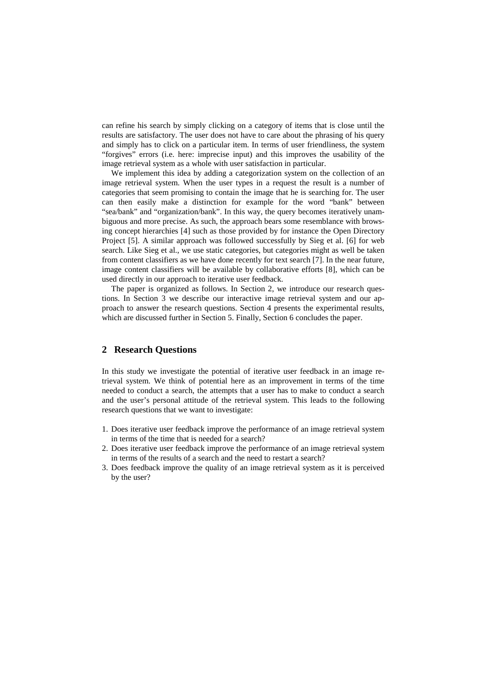can refine his search by simply clicking on a category of items that is close until the results are satisfactory. The user does not have to care about the phrasing of his query and simply has to click on a particular item. In terms of user friendliness, the system "forgives" errors (i.e. here: imprecise input) and this improves the usability of the image retrieval system as a whole with user satisfaction in particular.

We implement this idea by adding a categorization system on the collection of an image retrieval system. When the user types in a request the result is a number of categories that seem promising to contain the image that he is searching for. The user can then easily make a distinction for example for the word "bank" between "sea/bank" and "organization/bank". In this way, the query becomes iteratively unambiguous and more precise. As such, the approach bears some resemblance with browsing concept hierarchies [4] such as those provided by for instance the Open Directory Project [5]. A similar approach was followed successfully by Sieg et al. [6] for web search. Like Sieg et al., we use static categories, but categories might as well be taken from content classifiers as we have done recently for text search [7]. In the near future, image content classifiers will be available by collaborative efforts [8], which can be used directly in our approach to iterative user feedback.

The paper is organized as follows. In Section 2, we introduce our research questions. In Section 3 we describe our interactive image retrieval system and our approach to answer the research questions. Section 4 presents the experimental results, which are discussed further in Section 5. Finally, Section 6 concludes the paper.

## **2 Research Questions**

In this study we investigate the potential of iterative user feedback in an image retrieval system. We think of potential here as an improvement in terms of the time needed to conduct a search, the attempts that a user has to make to conduct a search and the user's personal attitude of the retrieval system. This leads to the following research questions that we want to investigate:

- 1. Does iterative user feedback improve the performance of an image retrieval system in terms of the time that is needed for a search?
- 2. Does iterative user feedback improve the performance of an image retrieval system in terms of the results of a search and the need to restart a search?
- 3. Does feedback improve the quality of an image retrieval system as it is perceived by the user?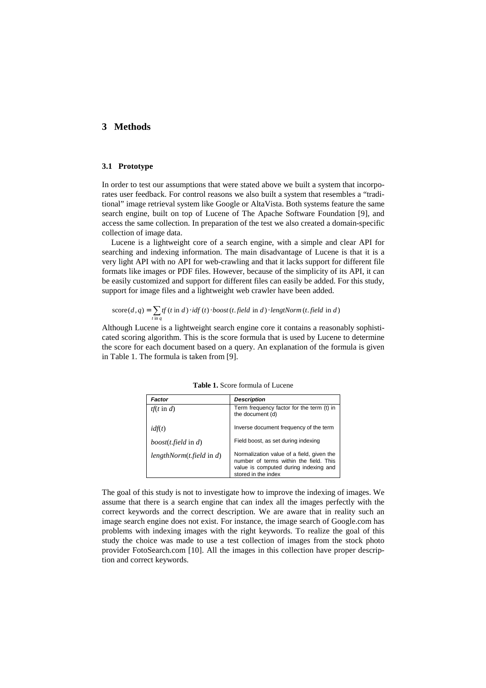# **3 Methods**

#### **3.1 Prototype**

In order to test our assumptions that were stated above we built a system that incorporates user feedback. For control reasons we also built a system that resembles a "traditional" image retrieval system like Google or AltaVista. Both systems feature the same search engine, built on top of Lucene of The Apache Software Foundation [9], and access the same collection. In preparation of the test we also created a domain-specific collection of image data.

Lucene is a lightweight core of a search engine, with a simple and clear API for searching and indexing information. The main disadvantage of Lucene is that it is a very light API with no API for web-crawling and that it lacks support for different file formats like images or PDF files. However, because of the simplicity of its API, it can be easily customized and support for different files can easily be added. For this study, support for image files and a lightweight web crawler have been added.

 $score(d, q) = \sum tf(t \text{ in } d) \cdot idf(t) \cdot boost(t, field \text{ in } d) \cdot lengthNorm(t, field \text{ in } d)$ in  $d$ , $q$ ) =  $\sum$  *ff* (*t* in *d*)  $\cdot$  *idf* (*t*)  $\cdot$  *boost* (*t*.*field* in *d*)  $\cdot$  *lengtNorm* (*t*.*field* in *d*)  $=\sum_{t \text{ in } q} tf(t \text{ in } d) \cdot idf(t) \cdot boost(t \text{. field in } d).$ 

Although Lucene is a lightweight search engine core it contains a reasonably sophisticated scoring algorithm. This is the score formula that is used by Lucene to determine the score for each document based on a query. An explanation of the formula is given in Table 1. The formula is taken from [9].

| Factor                       | <b>Description</b>                                                                                                                                  |
|------------------------------|-----------------------------------------------------------------------------------------------------------------------------------------------------|
| $tf(t \text{ in } d)$        | Term frequency factor for the term (t) in<br>the document (d)                                                                                       |
| idf(t)                       | Inverse document frequency of the term                                                                                                              |
| $boost(t, field \in d)$      | Field boost, as set during indexing                                                                                                                 |
| $lengthNorm(t, field \in d)$ | Normalization value of a field, given the<br>number of terms within the field. This<br>value is computed during indexing and<br>stored in the index |

**Table 1.** Score formula of Lucene

The goal of this study is not to investigate how to improve the indexing of images. We assume that there is a search engine that can index all the images perfectly with the correct keywords and the correct description. We are aware that in reality such an image search engine does not exist. For instance, the image search of Google.com has problems with indexing images with the right keywords. To realize the goal of this study the choice was made to use a test collection of images from the stock photo provider FotoSearch.com [10]. All the images in this collection have proper description and correct keywords.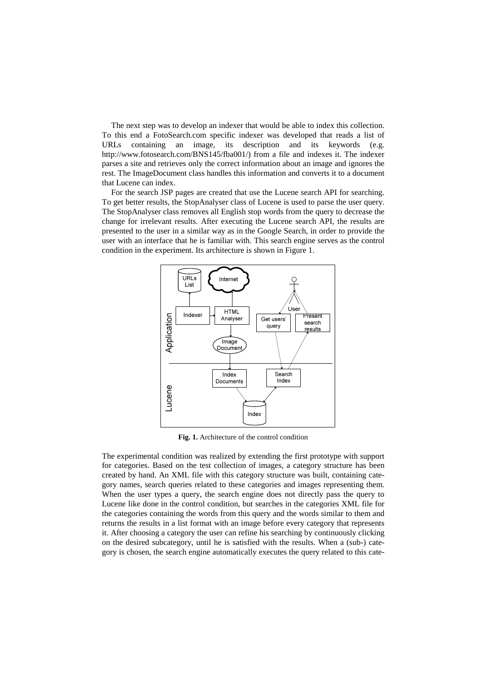The next step was to develop an indexer that would be able to index this collection. To this end a FotoSearch.com specific indexer was developed that reads a list of URLs containing an image, its description and its keywords (e.g. http://www.fotosearch.com/BNS145/fba001/) from a file and indexes it. The indexer parses a site and retrieves only the correct information about an image and ignores the rest. The ImageDocument class handles this information and converts it to a document that Lucene can index.

For the search JSP pages are created that use the Lucene search API for searching. To get better results, the StopAnalyser class of Lucene is used to parse the user query. The StopAnalyser class removes all English stop words from the query to decrease the change for irrelevant results. After executing the Lucene search API, the results are presented to the user in a similar way as in the Google Search, in order to provide the user with an interface that he is familiar with. This search engine serves as the control condition in the experiment. Its architecture is shown in Figure 1.



**Fig. 1.** Architecture of the control condition

The experimental condition was realized by extending the first prototype with support for categories. Based on the test collection of images, a category structure has been created by hand. An XML file with this category structure was built, containing category names, search queries related to these categories and images representing them. When the user types a query, the search engine does not directly pass the query to Lucene like done in the control condition, but searches in the categories XML file for the categories containing the words from this query and the words similar to them and returns the results in a list format with an image before every category that represents it. After choosing a category the user can refine his searching by continuously clicking on the desired subcategory, until he is satisfied with the results. When a (sub-) category is chosen, the search engine automatically executes the query related to this cate-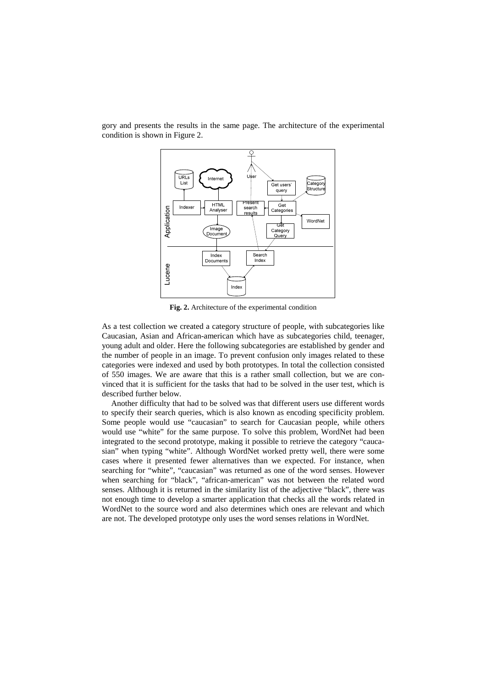

gory and presents the results in the same page. The architecture of the experimental condition is shown in Figure 2.

**Fig. 2.** Architecture of the experimental condition

As a test collection we created a category structure of people, with subcategories like Caucasian, Asian and African-american which have as subcategories child, teenager, young adult and older. Here the following subcategories are established by gender and the number of people in an image. To prevent confusion only images related to these categories were indexed and used by both prototypes. In total the collection consisted of 550 images. We are aware that this is a rather small collection, but we are convinced that it is sufficient for the tasks that had to be solved in the user test, which is described further below.

Another difficulty that had to be solved was that different users use different words to specify their search queries, which is also known as encoding specificity problem. Some people would use "caucasian" to search for Caucasian people, while others would use "white" for the same purpose. To solve this problem, WordNet had been integrated to the second prototype, making it possible to retrieve the category "caucasian" when typing "white". Although WordNet worked pretty well, there were some cases where it presented fewer alternatives than we expected. For instance, when searching for "white", "caucasian" was returned as one of the word senses. However when searching for "black", "african-american" was not between the related word senses. Although it is returned in the similarity list of the adjective "black", there was not enough time to develop a smarter application that checks all the words related in WordNet to the source word and also determines which ones are relevant and which are not. The developed prototype only uses the word senses relations in WordNet.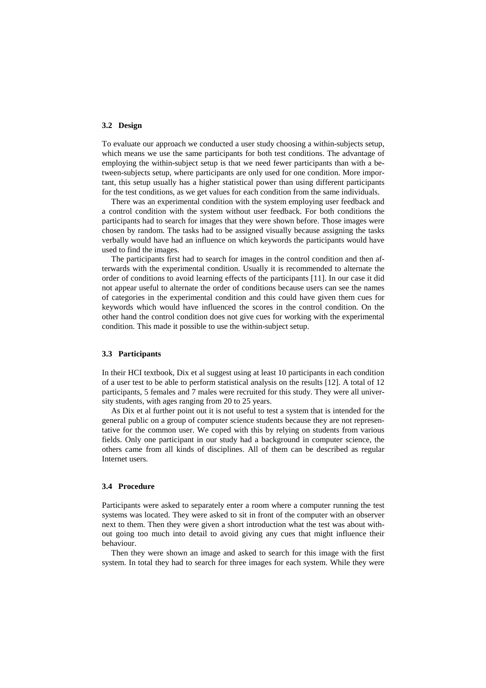#### **3.2 Design**

To evaluate our approach we conducted a user study choosing a within-subjects setup, which means we use the same participants for both test conditions. The advantage of employing the within-subject setup is that we need fewer participants than with a between-subjects setup, where participants are only used for one condition. More important, this setup usually has a higher statistical power than using different participants for the test conditions, as we get values for each condition from the same individuals.

There was an experimental condition with the system employing user feedback and a control condition with the system without user feedback. For both conditions the participants had to search for images that they were shown before. Those images were chosen by random. The tasks had to be assigned visually because assigning the tasks verbally would have had an influence on which keywords the participants would have used to find the images.

The participants first had to search for images in the control condition and then afterwards with the experimental condition. Usually it is recommended to alternate the order of conditions to avoid learning effects of the participants [11]. In our case it did not appear useful to alternate the order of conditions because users can see the names of categories in the experimental condition and this could have given them cues for keywords which would have influenced the scores in the control condition. On the other hand the control condition does not give cues for working with the experimental condition. This made it possible to use the within-subject setup.

## **3.3 Participants**

In their HCI textbook, Dix et al suggest using at least 10 participants in each condition of a user test to be able to perform statistical analysis on the results [12]. A total of 12 participants, 5 females and 7 males were recruited for this study. They were all university students, with ages ranging from 20 to 25 years.

As Dix et al further point out it is not useful to test a system that is intended for the general public on a group of computer science students because they are not representative for the common user. We coped with this by relying on students from various fields. Only one participant in our study had a background in computer science, the others came from all kinds of disciplines. All of them can be described as regular Internet users.

## **3.4 Procedure**

Participants were asked to separately enter a room where a computer running the test systems was located. They were asked to sit in front of the computer with an observer next to them. Then they were given a short introduction what the test was about without going too much into detail to avoid giving any cues that might influence their behaviour.

Then they were shown an image and asked to search for this image with the first system. In total they had to search for three images for each system. While they were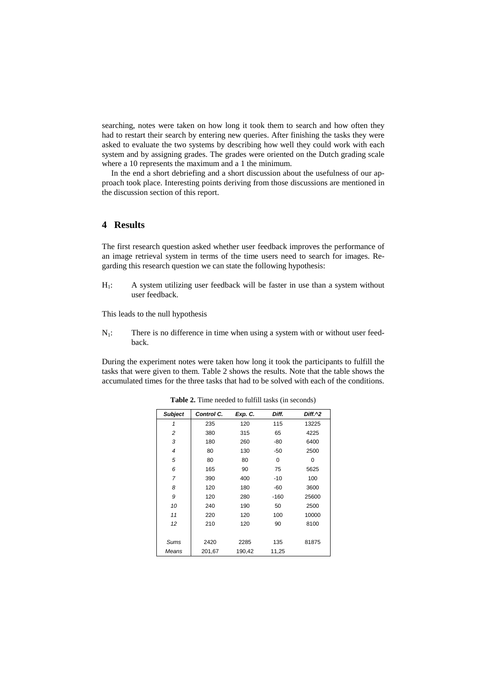searching, notes were taken on how long it took them to search and how often they had to restart their search by entering new queries. After finishing the tasks they were asked to evaluate the two systems by describing how well they could work with each system and by assigning grades. The grades were oriented on the Dutch grading scale where a 10 represents the maximum and a 1 the minimum.

In the end a short debriefing and a short discussion about the usefulness of our approach took place. Interesting points deriving from those discussions are mentioned in the discussion section of this report.

## **4 Results**

The first research question asked whether user feedback improves the performance of an image retrieval system in terms of the time users need to search for images. Regarding this research question we can state the following hypothesis:

H1: A system utilizing user feedback will be faster in use than a system without user feedback.

This leads to the null hypothesis

 $N_1$ : There is no difference in time when using a system with or without user feedback.

During the experiment notes were taken how long it took the participants to fulfill the tasks that were given to them. Table 2 shows the results. Note that the table shows the accumulated times for the three tasks that had to be solved with each of the conditions.

| <b>Subject</b> | Control C. | Exp. C. | Diff.  | Diff.^2 |
|----------------|------------|---------|--------|---------|
| 1              | 235        | 120     | 115    | 13225   |
| 2              | 380        | 315     | 65     | 4225    |
| 3              | 180        | 260     | -80    | 6400    |
| $\overline{4}$ | 80         | 130     | $-50$  | 2500    |
| 5              | 80         | 80      | 0      | 0       |
| 6              | 165        | 90      | 75     | 5625    |
| 7              | 390        | 400     | $-10$  | 100     |
| 8              | 120        | 180     | -60    | 3600    |
| 9              | 120        | 280     | $-160$ | 25600   |
| 10             | 240        | 190     | 50     | 2500    |
| 11             | 220        | 120     | 100    | 10000   |
| 12             | 210        | 120     | 90     | 8100    |
|                |            |         |        |         |
| Sums           | 2420       | 2285    | 135    | 81875   |
| Means          | 201,67     | 190,42  | 11,25  |         |

**Table 2.** Time needed to fulfill tasks (in seconds)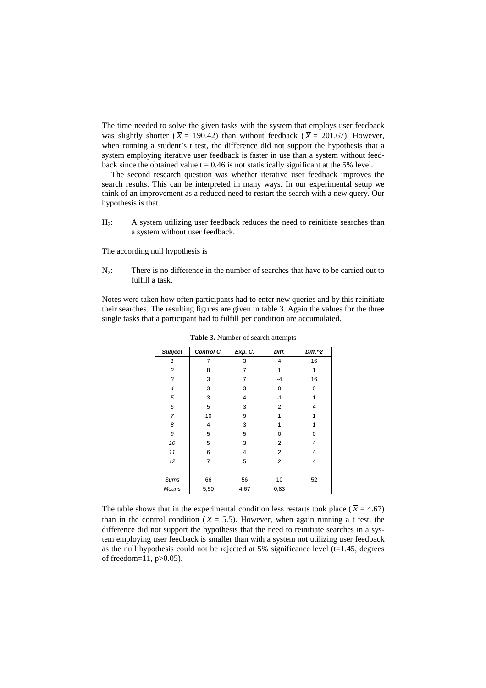The time needed to solve the given tasks with the system that employs user feedback was slightly shorter ( $\bar{x}$  = 190.42) than without feedback ( $\bar{x}$  = 201.67). However, when running a student's t test, the difference did not support the hypothesis that a system employing iterative user feedback is faster in use than a system without feedback since the obtained value  $t = 0.46$  is not statistically significant at the 5% level.

The second research question was whether iterative user feedback improves the search results. This can be interpreted in many ways. In our experimental setup we think of an improvement as a reduced need to restart the search with a new query. Our hypothesis is that

H2: A system utilizing user feedback reduces the need to reinitiate searches than a system without user feedback.

The according null hypothesis is

 $N_2$ : There is no difference in the number of searches that have to be carried out to fulfill a task.

Notes were taken how often participants had to enter new queries and by this reinitiate their searches. The resulting figures are given in table 3. Again the values for the three single tasks that a participant had to fulfill per condition are accumulated.

| <b>Subject</b> | Control C. | Exp. C. | Diff.          | Diff.^2        |
|----------------|------------|---------|----------------|----------------|
| 1              | 7          | 3       | 4              | 16             |
| 2              | 8          | 7       | 1              | 1              |
| 3              | 3          | 7       | $-4$           | 16             |
| 4              | 3          | 3       | 0              | 0              |
| 5              | 3          | 4       | $-1$           | 1              |
| 6              | 5          | 3       | 2              | 4              |
| 7              | 10         | 9       | 1              | 1              |
| 8              | 4          | 3       | 1              | 1              |
| 9              | 5          | 5       | $\Omega$       | $\Omega$       |
| 10             | 5          | 3       | 2              | 4              |
| 11             | 6          | 4       | $\overline{2}$ | 4              |
| 12             | 7          | 5       | $\overline{2}$ | $\overline{4}$ |
|                |            |         |                |                |
| Sums           | 66         | 56      | 10             | 52             |
| Means          | 5,50       | 4,67    | 0,83           |                |

**Table 3.** Number of search attempts

The table shows that in the experimental condition less restarts took place ( $\bar{x}$  = 4.67) than in the control condition ( $\bar{x}$  = 5.5). However, when again running a t test, the difference did not support the hypothesis that the need to reinitiate searches in a system employing user feedback is smaller than with a system not utilizing user feedback as the null hypothesis could not be rejected at  $5\%$  significance level (t=1.45, degrees of freedom= $11, p > 0.05$ ).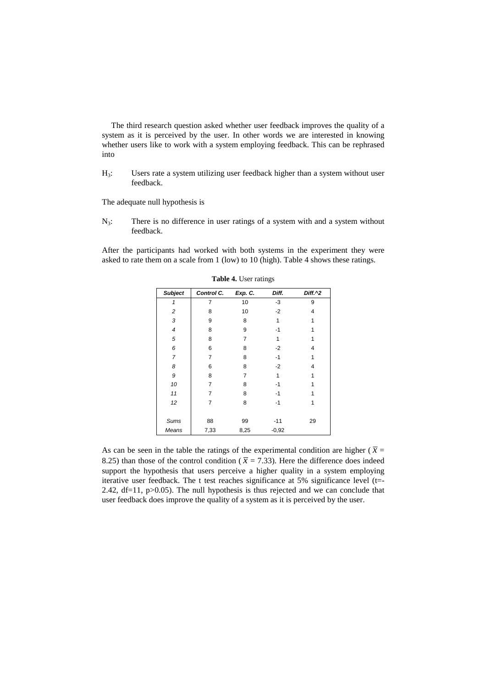The third research question asked whether user feedback improves the quality of a system as it is perceived by the user. In other words we are interested in knowing whether users like to work with a system employing feedback. This can be rephrased into

H3: Users rate a system utilizing user feedback higher than a system without user feedback.

The adequate null hypothesis is

 $N_3$ : There is no difference in user ratings of a system with and a system without feedback.

After the participants had worked with both systems in the experiment they were asked to rate them on a scale from 1 (low) to 10 (high). Table 4 shows these ratings.

| <b>Subject</b>           | Control C. | Exp. C. | Diff.   | Diff.^2 |
|--------------------------|------------|---------|---------|---------|
| 1                        | 7          | 10      | -3      | 9       |
| 2                        | 8          | 10      | $-2$    | 4       |
| 3                        | 9          | 8       | 1       | 1       |
| $\overline{\mathcal{A}}$ | 8          | 9       | -1      | 1       |
| 5                        | 8          | 7       | 1       | 1       |
| 6                        | 6          | 8       | $-2$    | 4       |
| 7                        | 7          | 8       | $-1$    | 1       |
| 8                        | 6          | 8       | $-2$    | 4       |
| 9                        | 8          | 7       | 1       | 1       |
| 10                       | 7          | 8       | $-1$    | 1       |
| 11                       | 7          | 8       | -1      | 1       |
| 12                       | 7          | 8       | $-1$    | 1       |
|                          |            |         |         |         |
| Sums                     | 88         | 99      | $-11$   | 29      |
| Means                    | 7,33       | 8,25    | $-0,92$ |         |

**Table 4.** User ratings

As can be seen in the table the ratings of the experimental condition are higher ( $\bar{x}$  = 8.25) than those of the control condition ( $\bar{x}$  = 7.33). Here the difference does indeed support the hypothesis that users perceive a higher quality in a system employing iterative user feedback. The t test reaches significance at 5% significance level (t=- 2.42,  $df=11$ ,  $p>0.05$ ). The null hypothesis is thus rejected and we can conclude that user feedback does improve the quality of a system as it is perceived by the user.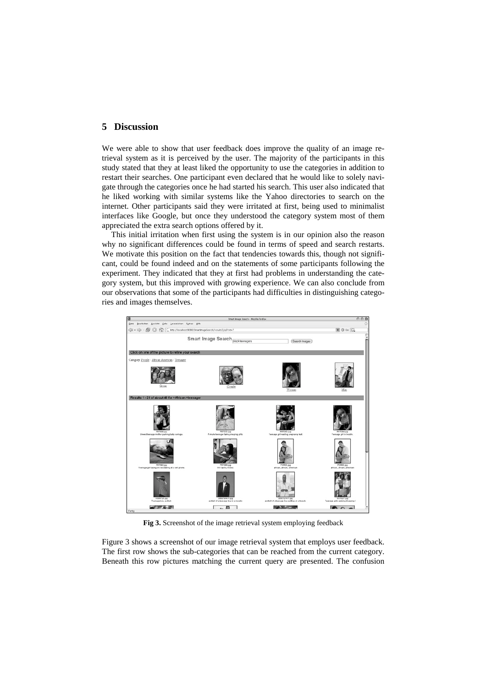# **5 Discussion**

We were able to show that user feedback does improve the quality of an image retrieval system as it is perceived by the user. The majority of the participants in this study stated that they at least liked the opportunity to use the categories in addition to restart their searches. One participant even declared that he would like to solely navigate through the categories once he had started his search. This user also indicated that he liked working with similar systems like the Yahoo directories to search on the internet. Other participants said they were irritated at first, being used to minimalist interfaces like Google, but once they understood the category system most of them appreciated the extra search options offered by it.

This initial irritation when first using the system is in our opinion also the reason why no significant differences could be found in terms of speed and search restarts. We motivate this position on the fact that tendencies towards this, though not significant, could be found indeed and on the statements of some participants following the experiment. They indicated that they at first had problems in understanding the category system, but this improved with growing experience. We can also conclude from our observations that some of the participants had difficulties in distinguishing categories and images themselves.



**Fig 3.** Screenshot of the image retrieval system employing feedback

Figure 3 shows a screenshot of our image retrieval system that employs user feedback. The first row shows the sub-categories that can be reached from the current category. Beneath this row pictures matching the current query are presented. The confusion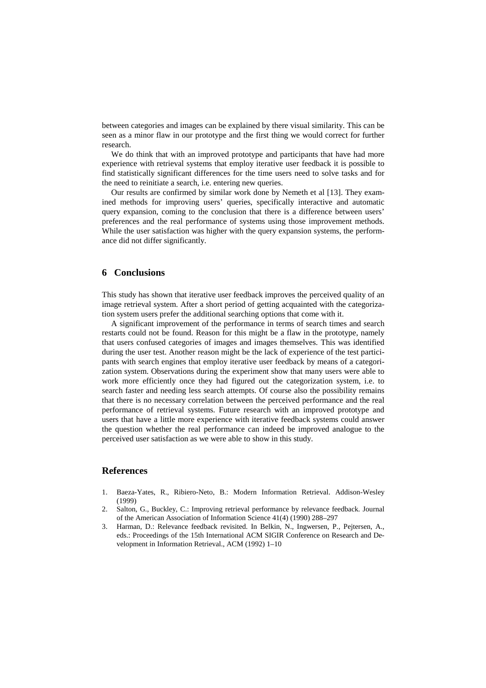between categories and images can be explained by there visual similarity. This can be seen as a minor flaw in our prototype and the first thing we would correct for further research.

We do think that with an improved prototype and participants that have had more experience with retrieval systems that employ iterative user feedback it is possible to find statistically significant differences for the time users need to solve tasks and for the need to reinitiate a search, i.e. entering new queries.

Our results are confirmed by similar work done by Nemeth et al [13]. They examined methods for improving users' queries, specifically interactive and automatic query expansion, coming to the conclusion that there is a difference between users' preferences and the real performance of systems using those improvement methods. While the user satisfaction was higher with the query expansion systems, the performance did not differ significantly.

# **6 Conclusions**

This study has shown that iterative user feedback improves the perceived quality of an image retrieval system. After a short period of getting acquainted with the categorization system users prefer the additional searching options that come with it.

A significant improvement of the performance in terms of search times and search restarts could not be found. Reason for this might be a flaw in the prototype, namely that users confused categories of images and images themselves. This was identified during the user test. Another reason might be the lack of experience of the test participants with search engines that employ iterative user feedback by means of a categorization system. Observations during the experiment show that many users were able to work more efficiently once they had figured out the categorization system, i.e. to search faster and needing less search attempts. Of course also the possibility remains that there is no necessary correlation between the perceived performance and the real performance of retrieval systems. Future research with an improved prototype and users that have a little more experience with iterative feedback systems could answer the question whether the real performance can indeed be improved analogue to the perceived user satisfaction as we were able to show in this study.

# **References**

- 1. Baeza-Yates, R., Ribiero-Neto, B.: Modern Information Retrieval. Addison-Wesley (1999)
- 2. Salton, G., Buckley, C.: Improving retrieval performance by relevance feedback. Journal of the American Association of Information Science 41(4) (1990) 288–297
- 3. Harman, D.: Relevance feedback revisited. In Belkin, N., Ingwersen, P., Pejtersen, A., eds.: Proceedings of the 15th International ACM SIGIR Conference on Research and Development in Information Retrieval., ACM (1992) 1–10